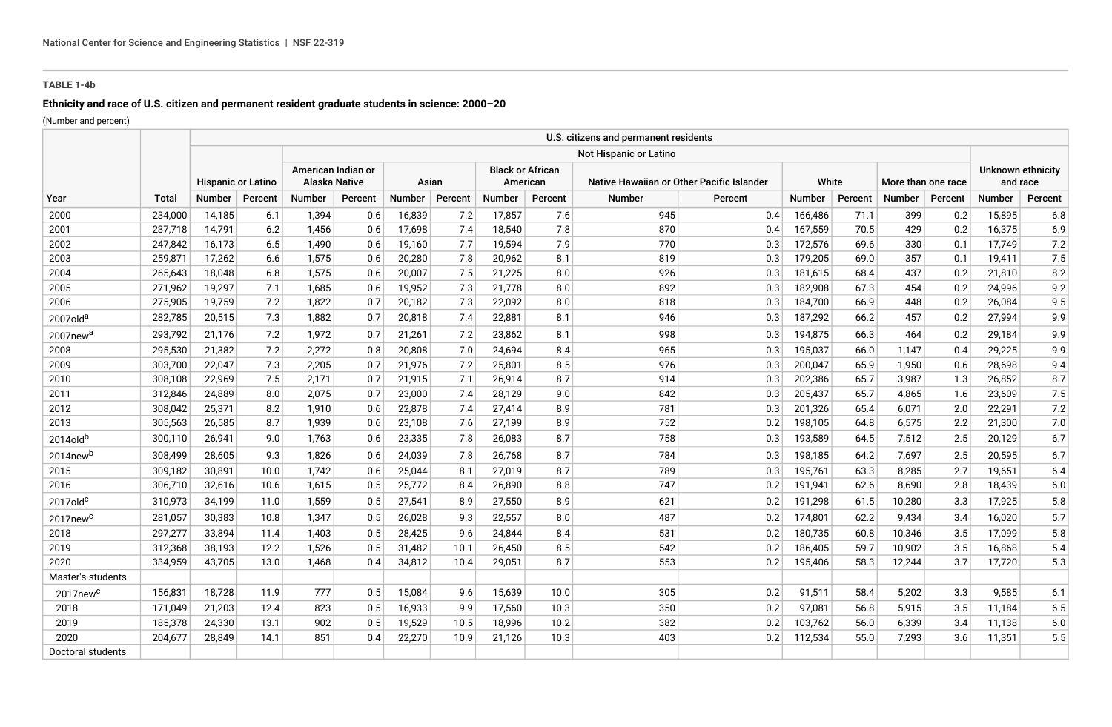# **TABLE 1-4b**

# **Ethnicity and race of U.S. citizen and permanent resident graduate students in science: 2000–20**

(Number and percent)

|                      |              |                           |         |                                     |         |        |         |                                     |         | U.S. citizens and permanent residents     |         |               |         |                    |         |                               |         |
|----------------------|--------------|---------------------------|---------|-------------------------------------|---------|--------|---------|-------------------------------------|---------|-------------------------------------------|---------|---------------|---------|--------------------|---------|-------------------------------|---------|
|                      |              |                           |         | Not Hispanic or Latino              |         |        |         |                                     |         |                                           |         |               |         |                    |         |                               |         |
|                      |              | <b>Hispanic or Latino</b> |         | American Indian or<br>Alaska Native |         | Asian  |         | <b>Black or African</b><br>American |         | Native Hawaiian or Other Pacific Islander |         | White         |         | More than one race |         | Unknown ethnicity<br>and race |         |
| Year                 | <b>Total</b> | <b>Number</b>             | Percent | Number                              | Percent | Number | Percent | Number                              | Percent | Number                                    | Percent | <b>Number</b> | Percent | <b>Number</b>      | Percent | Number                        | Percent |
| 2000                 | 234,000      | 14,185                    | 6.1     | 1,394                               | 0.6     | 16,839 | 7.2     | 17,857                              | 7.6     | 945                                       | 0.4     | 166,486       | 71.1    | 399                | 0.2     | 15,895                        | 6.8     |
| 2001                 | 237,718      | 14,791                    | 6.2     | 1,456                               | 0.6     | 17,698 | 7.4     | 18,540                              | 7.8     | 870                                       | 0.4     | 167,559       | 70.5    | 429                | 0.2     | 16,375                        | 6.9     |
| 2002                 | 247,842      | 16,173                    | 6.5     | 1,490                               | 0.6     | 19,160 | 7.7     | 19,594                              | 7.9     | 770                                       | 0.3     | 172,576       | 69.6    | 330                | 0.1     | 17,749                        | 7.2     |
| 2003                 | 259,871      | 17,262                    | 6.6     | 1,575                               | 0.6     | 20,280 | 7.8     | 20,962                              | 8.1     | 819                                       | 0.3     | 179,205       | 69.0    | 357                | 0.1     | 19,411                        | 7.5     |
| 2004                 | 265,643      | 18,048                    | 6.8     | 1,575                               | 0.6     | 20,007 | 7.5     | 21,225                              | 8.0     | 926                                       | 0.3     | 181,615       | 68.4    | 437                | 0.2     | 21,810                        | 8.2     |
| 2005                 | 271,962      | 19,297                    | 7.1     | 1,685                               | 0.6     | 19,952 | 7.3     | 21,778                              | 8.0     | 892                                       | 0.3     | 182,908       | 67.3    | 454                | 0.2     | 24,996                        | 9.2     |
| 2006                 | 275,905      | 19,759                    | 7.2     | 1,822                               | 0.7     | 20,182 | 7.3     | 22,092                              | 8.0     | 818                                       | 0.3     | 184,700       | 66.9    | 448                | 0.2     | 26,084                        | 9.5     |
| 2007old <sup>a</sup> | 282,785      | 20,515                    | 7.3     | 1,882                               | 0.7     | 20,818 | 7.4     | 22,881                              | 8.1     | 946                                       | 0.3     | 187,292       | 66.2    | 457                | 0.2     | 27,994                        | 9.9     |
| 2007new <sup>a</sup> | 293,792      | 21,176                    | 7.2     | 1,972                               | 0.7     | 21,261 | 7.2     | 23,862                              | 8.1     | 998                                       | 0.3     | 194,875       | 66.3    | 464                | 0.2     | 29,184                        | 9.9     |
| 2008                 | 295,530      | 21,382                    | 7.2     | 2,272                               | 0.8     | 20,808 | 7.0     | 24,694                              | 8.4     | 965                                       | 0.3     | 195,037       | 66.0    | 1,147              | 0.4     | 29,225                        | 9.9     |
| 2009                 | 303,700      | 22,047                    | 7.3     | 2,205                               | 0.7     | 21,976 | 7.2     | 25,801                              | 8.5     | 976                                       | 0.3     | 200,047       | 65.9    | 1,950              | 0.6     | 28,698                        | 9.4     |
| 2010                 | 308,108      | 22,969                    | 7.5     | 2,171                               | 0.7     | 21,915 | 7.1     | 26,914                              | 8.7     | 914                                       | 0.3     | 202,386       | 65.7    | 3,987              | 1.3     | 26,852                        | 8.7     |
| 2011                 | 312,846      | 24,889                    | 8.0     | 2,075                               | 0.7     | 23,000 | 7.4     | 28,129                              | 9.0     | 842                                       | 0.3     | 205,437       | 65.7    | 4,865              | 1.6     | 23,609                        | 7.5     |
| 2012                 | 308,042      | 25,371                    | 8.2     | 1,910                               | 0.6     | 22,878 | 7.4     | 27,414                              | 8.9     | 781                                       | 0.3     | 201,326       | 65.4    | 6,071              | 2.0     | 22,291                        | 7.2     |
| 2013                 | 305,563      | 26,585                    | 8.7     | 1,939                               | 0.6     | 23,108 | 7.6     | 27,199                              | 8.9     | 752                                       | 0.2     | 198,105       | 64.8    | 6,575              | 2.2     | 21,300                        | 7.0     |
| 2014old <sup>b</sup> | 300,110      | 26,941                    | 9.0     | 1,763                               | 0.6     | 23,335 | 7.8     | 26,083                              | 8.7     | 758                                       | 0.3     | 193,589       | 64.5    | 7,512              | 2.5     | 20,129                        | 6.7     |
| 2014new <sup>b</sup> | 308,499      | 28,605                    | 9.3     | 1,826                               | 0.6     | 24,039 | 7.8     | 26,768                              | 8.7     | 784                                       | 0.3     | 198,185       | 64.2    | 7,697              | 2.5     | 20,595                        | 6.7     |
| 2015                 | 309,182      | 30,891                    | 10.0    | 1,742                               | 0.6     | 25,044 | 8.1     | 27,019                              | 8.7     | 789                                       | 0.3     | 195,761       | 63.3    | 8,285              | 2.7     | 19,651                        | 6.4     |
| 2016                 | 306,710      | 32,616                    | 10.6    | 1,615                               | 0.5     | 25,772 | 8.4     | 26,890                              | 8.8     | 747                                       | 0.2     | 191,941       | 62.6    | 8,690              | 2.8     | 18,439                        | 6.0     |
| $2017$ old $c$       | 310,973      | 34,199                    | 11.0    | 1,559                               | 0.5     | 27,541 | 8.9     | 27,550                              | 8.9     | 621                                       | 0.2     | 191,298       | 61.5    | 10,280             | 3.3     | 17,925                        | 5.8     |
| 2017new <sup>c</sup> | 281,057      | 30,383                    | 10.8    | 1,347                               | 0.5     | 26,028 | 9.3     | 22,557                              | 8.0     | 487                                       | 0.2     | 174,801       | 62.2    | 9,434              | 3.4     | 16,020                        | 5.7     |
| 2018                 | 297,277      | 33,894                    | 11.4    | 1,403                               | 0.5     | 28,425 | 9.6     | 24,844                              | 8.4     | 531                                       | 0.2     | 180,735       | 60.8    | 10,346             | 3.5     | 17,099                        | 5.8     |
| 2019                 | 312,368      | 38,193                    | 12.2    | 1,526                               | 0.5     | 31,482 | 10.1    | 26,450                              | 8.5     | 542                                       | 0.2     | 186,405       | 59.7    | 10,902             | 3.5     | 16,868                        | 5.4     |
| 2020                 | 334,959      | 43,705                    | 13.0    | 1,468                               | 0.4     | 34,812 | 10.4    | 29,051                              | 8.7     | 553                                       | 0.2     | 195,406       | 58.3    | 12,244             | 3.7     | 17,720                        | 5.3     |
| Master's students    |              |                           |         |                                     |         |        |         |                                     |         |                                           |         |               |         |                    |         |                               |         |
| 2017new <sup>c</sup> | 156,831      | 18,728                    | 11.9    | 777                                 | 0.5     | 15,084 | 9.6     | 15,639                              | 10.0    | 305                                       | 0.2     | 91,511        | 58.4    | 5,202              | 3.3     | 9,585                         | 6.1     |
| 2018                 | 171,049      | 21,203                    | 12.4    | 823                                 | 0.5     | 16,933 | 9.9     | 17,560                              | 10.3    | 350                                       | 0.2     | 97,081        | 56.8    | 5,915              | 3.5     | 11,184                        | 6.5     |
| 2019                 | 185,378      | 24,330                    | 13.1    | 902                                 | 0.5     | 19,529 | 10.5    | 18,996                              | 10.2    | 382                                       | 0.2     | 103,762       | 56.0    | 6,339              | 3.4     | 11,138                        | 6.0     |
| 2020                 | 204,677      | 28,849                    | 14.1    | 851                                 | 0.4     | 22,270 | 10.9    | 21,126                              | 10.3    | 403                                       | 0.2     | 112,534       | 55.0    | 7,293              | 3.6     | 11,351                        | 5.5     |
| Doctoral students    |              |                           |         |                                     |         |        |         |                                     |         |                                           |         |               |         |                    |         |                               |         |